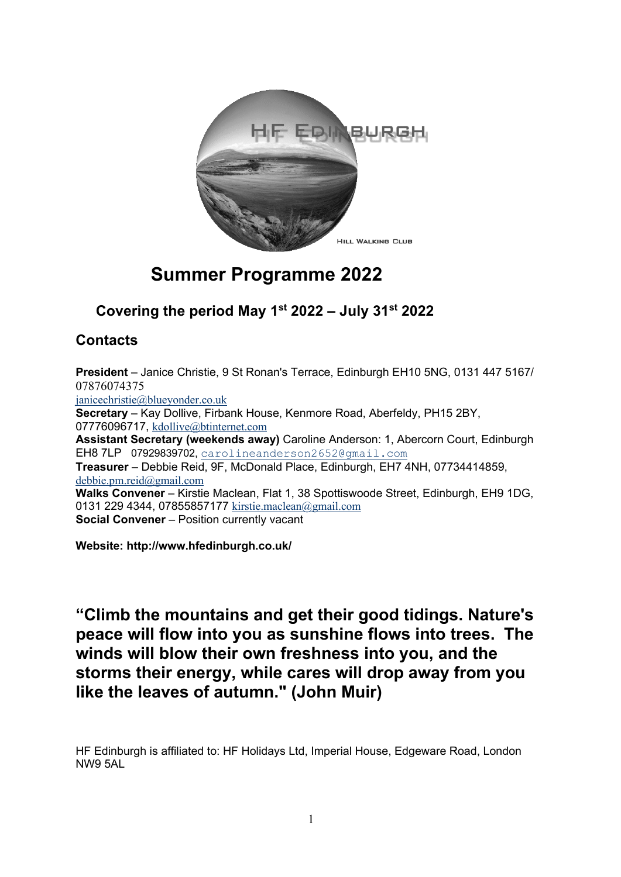

## **Summer Programme 2022**

## **Covering the period May 1st 2022 – July 31st 2022**

## **Contacts**

**President** – Janice Christie, 9 St Ronan's Terrace, Edinburgh EH10 5NG, 0131 447 5167/ 07876074375 janicechristie@blueyonder.co.uk **Secretary** – Kay Dollive, Firbank House, Kenmore Road, Aberfeldy, PH15 2BY, 07776096717, kdollive@btinternet.com **Assistant Secretary (weekends away)** Caroline Anderson: 1, Abercorn Court, Edinburgh EH8 7LP 07929839702, carolineanderson2652@gmail.com **Treasurer** – Debbie Reid, 9F, McDonald Place, Edinburgh, EH7 4NH, 07734414859, debbie.pm.reid@gmail.com **Walks Convener** – Kirstie Maclean, Flat 1, 38 Spottiswoode Street, Edinburgh, EH9 1DG, 0131 229 4344, 07855857177 kirstie.maclean@gmail.com **Social Convener** – Position currently vacant

**Website: http://www.hfedinburgh.co.uk/**

**"Climb the mountains and get their good tidings. Nature's peace will flow into you as sunshine flows into trees. The winds will blow their own freshness into you, and the storms their energy, while cares will drop away from you like the leaves of autumn." (John Muir)**

HF Edinburgh is affiliated to: HF Holidays Ltd, Imperial House, Edgeware Road, London NW9 5AL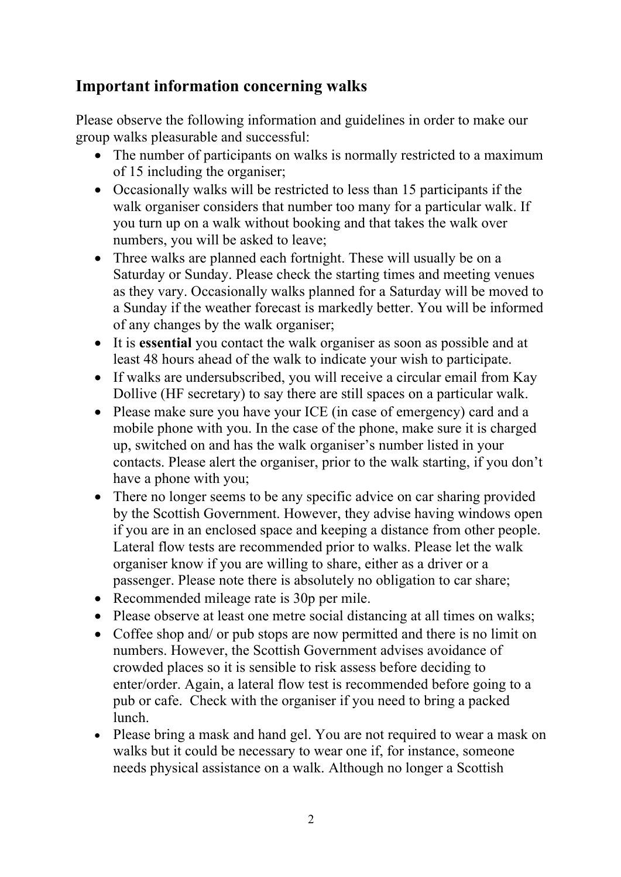## **Important information concerning walks**

Please observe the following information and guidelines in order to make our group walks pleasurable and successful:

- The number of participants on walks is normally restricted to a maximum of 15 including the organiser;
- Occasionally walks will be restricted to less than 15 participants if the walk organiser considers that number too many for a particular walk. If you turn up on a walk without booking and that takes the walk over numbers, you will be asked to leave;
- Three walks are planned each fortnight. These will usually be on a Saturday or Sunday. Please check the starting times and meeting venues as they vary. Occasionally walks planned for a Saturday will be moved to a Sunday if the weather forecast is markedly better. You will be informed of any changes by the walk organiser;
- It is **essential** you contact the walk organiser as soon as possible and at least 48 hours ahead of the walk to indicate your wish to participate.
- If walks are undersubscribed, you will receive a circular email from Kay Dollive (HF secretary) to say there are still spaces on a particular walk.
- Please make sure you have your ICE (in case of emergency) card and a mobile phone with you. In the case of the phone, make sure it is charged up, switched on and has the walk organiser's number listed in your contacts. Please alert the organiser, prior to the walk starting, if you don't have a phone with you;
- There no longer seems to be any specific advice on car sharing provided by the Scottish Government. However, they advise having windows open if you are in an enclosed space and keeping a distance from other people. Lateral flow tests are recommended prior to walks. Please let the walk organiser know if you are willing to share, either as a driver or a passenger. Please note there is absolutely no obligation to car share;
- Recommended mileage rate is 30p per mile.
- Please observe at least one metre social distancing at all times on walks;
- Coffee shop and/ or pub stops are now permitted and there is no limit on numbers. However, the Scottish Government advises avoidance of crowded places so it is sensible to risk assess before deciding to enter/order. Again, a lateral flow test is recommended before going to a pub or cafe. Check with the organiser if you need to bring a packed lunch.
- Please bring a mask and hand gel. You are not required to wear a mask on walks but it could be necessary to wear one if, for instance, someone needs physical assistance on a walk. Although no longer a Scottish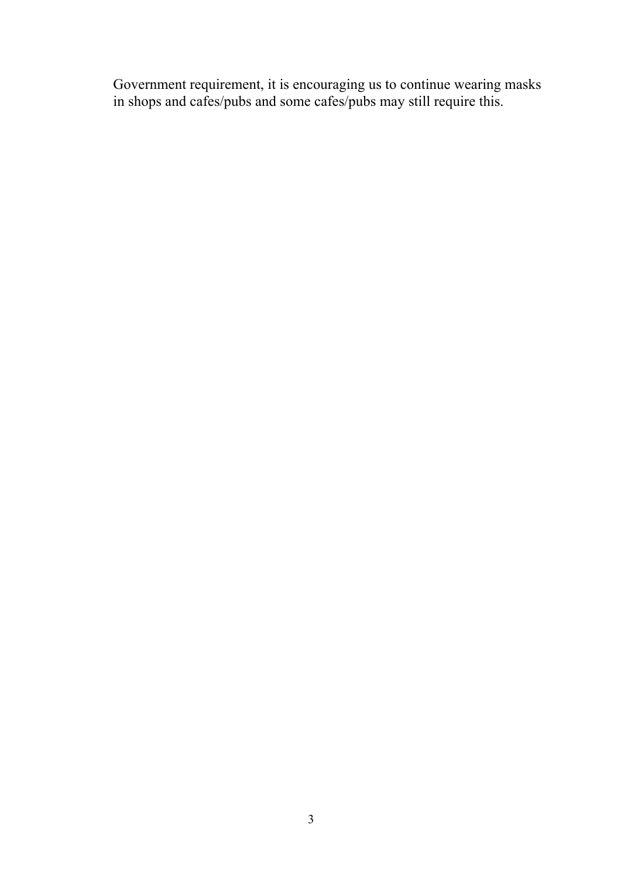Government requirement, it is encouraging us to continue wearing masks in shops and cafes/pubs and some cafes/pubs may still require this.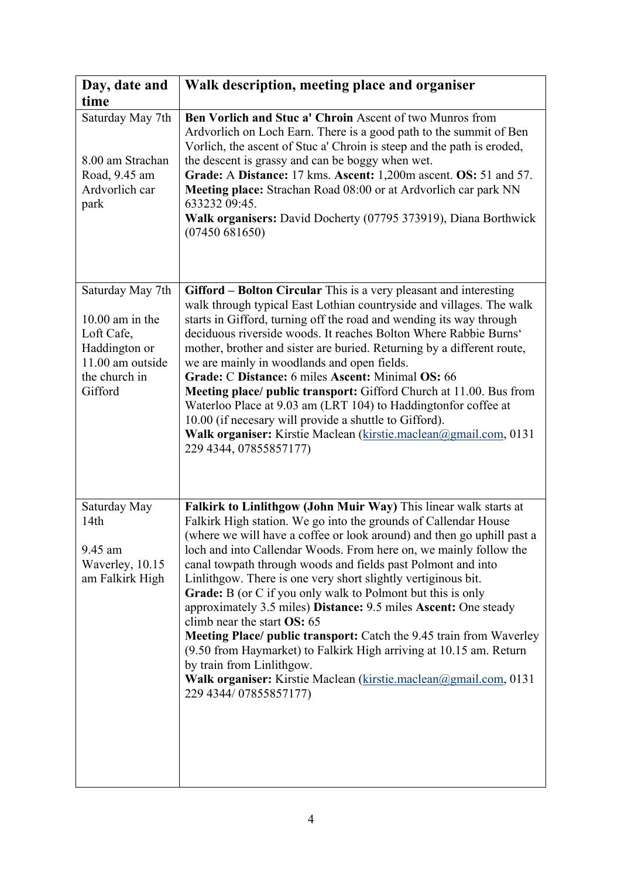| Day, date and<br>time                                                                                                | Walk description, meeting place and organiser                                                                                                                                                                                                                                                                                                                                                                                                                                                                                                                                                                                                                                                                                                                                                                                                                             |
|----------------------------------------------------------------------------------------------------------------------|---------------------------------------------------------------------------------------------------------------------------------------------------------------------------------------------------------------------------------------------------------------------------------------------------------------------------------------------------------------------------------------------------------------------------------------------------------------------------------------------------------------------------------------------------------------------------------------------------------------------------------------------------------------------------------------------------------------------------------------------------------------------------------------------------------------------------------------------------------------------------|
| Saturday May 7th<br>8.00 am Strachan<br>Road, 9.45 am<br>Ardvorlich car<br>park                                      | Ben Vorlich and Stuc a' Chroin Ascent of two Munros from<br>Ardvorlich on Loch Earn. There is a good path to the summit of Ben<br>Vorlich, the ascent of Stuc a' Chroin is steep and the path is eroded,<br>the descent is grassy and can be boggy when wet.<br>Grade: A Distance: 17 kms. Ascent: 1,200m ascent. OS: 51 and 57.<br>Meeting place: Strachan Road 08:00 or at Ardvorlich car park NN<br>633232 09:45.<br>Walk organisers: David Docherty (07795 373919), Diana Borthwick<br>(07450681650)                                                                                                                                                                                                                                                                                                                                                                  |
| Saturday May 7th<br>$10.00$ am in the<br>Loft Cafe,<br>Haddington or<br>11.00 am outside<br>the church in<br>Gifford | Gifford - Bolton Circular This is a very pleasant and interesting<br>walk through typical East Lothian countryside and villages. The walk<br>starts in Gifford, turning off the road and wending its way through<br>deciduous riverside woods. It reaches Bolton Where Rabbie Burns'<br>mother, brother and sister are buried. Returning by a different route,<br>we are mainly in woodlands and open fields.<br>Grade: C Distance: 6 miles Ascent: Minimal OS: 66<br>Meeting place/ public transport: Gifford Church at 11.00. Bus from<br>Waterloo Place at 9.03 am (LRT 104) to Haddingtonfor coffee at<br>10.00 (if necesary will provide a shuttle to Gifford).<br>Walk organiser: Kirstie Maclean (kirstie.maclean@gmail.com, 0131<br>229 4344, 07855857177)                                                                                                        |
| Saturday May<br>14 <sub>th</sub><br>9.45 am<br>Waverley, 10.15<br>am Falkirk High                                    | Falkirk to Linlithgow (John Muir Way) This linear walk starts at<br>Falkirk High station. We go into the grounds of Callendar House<br>(where we will have a coffee or look around) and then go uphill past a<br>loch and into Callendar Woods. From here on, we mainly follow the<br>canal towpath through woods and fields past Polmont and into<br>Linlithgow. There is one very short slightly vertiginous bit.<br><b>Grade:</b> B (or C if you only walk to Polmont but this is only<br>approximately 3.5 miles) Distance: 9.5 miles Ascent: One steady<br>climb near the start OS: 65<br><b>Meeting Place/ public transport:</b> Catch the 9.45 train from Waverley<br>(9.50 from Haymarket) to Falkirk High arriving at 10.15 am. Return<br>by train from Linlithgow.<br>Walk organiser: Kirstie Maclean (kirstie.maclean@gmail.com, 0131<br>229 4344/07855857177) |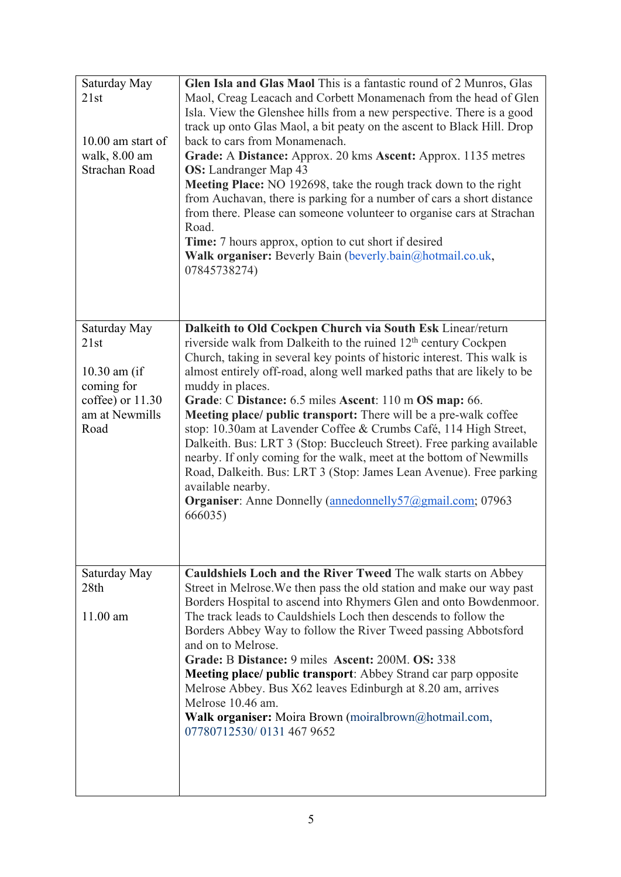| Saturday May<br>21st                 | Glen Isla and Glas Maol This is a fantastic round of 2 Munros, Glas<br>Maol, Creag Leacach and Corbett Monamenach from the head of Glen    |
|--------------------------------------|--------------------------------------------------------------------------------------------------------------------------------------------|
|                                      | Isla. View the Glenshee hills from a new perspective. There is a good                                                                      |
|                                      | track up onto Glas Maol, a bit peaty on the ascent to Black Hill. Drop                                                                     |
| $10.00$ am start of<br>walk, 8.00 am | back to cars from Monamenach.<br>Grade: A Distance: Approx. 20 kms Ascent: Approx. 1135 metres                                             |
| Strachan Road                        | <b>OS:</b> Landranger Map 43                                                                                                               |
|                                      | Meeting Place: NO 192698, take the rough track down to the right                                                                           |
|                                      | from Auchavan, there is parking for a number of cars a short distance                                                                      |
|                                      | from there. Please can someone volunteer to organise cars at Strachan                                                                      |
|                                      | Road.<br><b>Time:</b> 7 hours approx, option to cut short if desired                                                                       |
|                                      | Walk organiser: Beverly Bain (beverly.bain@hotmail.co.uk,                                                                                  |
|                                      | 07845738274)                                                                                                                               |
|                                      |                                                                                                                                            |
|                                      |                                                                                                                                            |
| Saturday May                         | Dalkeith to Old Cockpen Church via South Esk Linear/return                                                                                 |
| 21st                                 | riverside walk from Dalkeith to the ruined 12 <sup>th</sup> century Cockpen                                                                |
|                                      | Church, taking in several key points of historic interest. This walk is                                                                    |
| $10.30$ am (if                       | almost entirely off-road, along well marked paths that are likely to be                                                                    |
| coming for<br>coffee) or 11.30       | muddy in places.<br>Grade: C Distance: 6.5 miles Ascent: 110 m OS map: 66.                                                                 |
| am at Newmills                       | Meeting place/ public transport: There will be a pre-walk coffee                                                                           |
| Road                                 | stop: 10.30am at Lavender Coffee & Crumbs Café, 114 High Street,                                                                           |
|                                      | Dalkeith. Bus: LRT 3 (Stop: Buccleuch Street). Free parking available                                                                      |
|                                      | nearby. If only coming for the walk, meet at the bottom of Newmills                                                                        |
|                                      | Road, Dalkeith. Bus: LRT 3 (Stop: James Lean Avenue). Free parking<br>available nearby.                                                    |
|                                      | <b>Organiser:</b> Anne Donnelly (annedonnelly 57@gmail.com; 07963                                                                          |
|                                      | 666035)                                                                                                                                    |
|                                      |                                                                                                                                            |
|                                      |                                                                                                                                            |
| Saturday May                         | Cauldshiels Loch and the River Tweed The walk starts on Abbey                                                                              |
| 28th                                 | Street in Melrose. We then pass the old station and make our way past<br>Borders Hospital to ascend into Rhymers Glen and onto Bowdenmoor. |
| $11.00$ am                           | The track leads to Cauldshiels Loch then descends to follow the                                                                            |
|                                      | Borders Abbey Way to follow the River Tweed passing Abbotsford                                                                             |
|                                      | and on to Melrose.                                                                                                                         |
|                                      | Grade: B Distance: 9 miles Ascent: 200M. OS: 338                                                                                           |
|                                      | <b>Meeting place/ public transport:</b> Abbey Strand car parp opposite<br>Melrose Abbey. Bus X62 leaves Edinburgh at 8.20 am, arrives      |
|                                      | Melrose 10.46 am.                                                                                                                          |
|                                      | <b>Walk organiser:</b> Moira Brown (moiralbrown@hotmail.com,                                                                               |
|                                      | 07780712530/01314679652                                                                                                                    |
|                                      |                                                                                                                                            |
|                                      |                                                                                                                                            |
|                                      |                                                                                                                                            |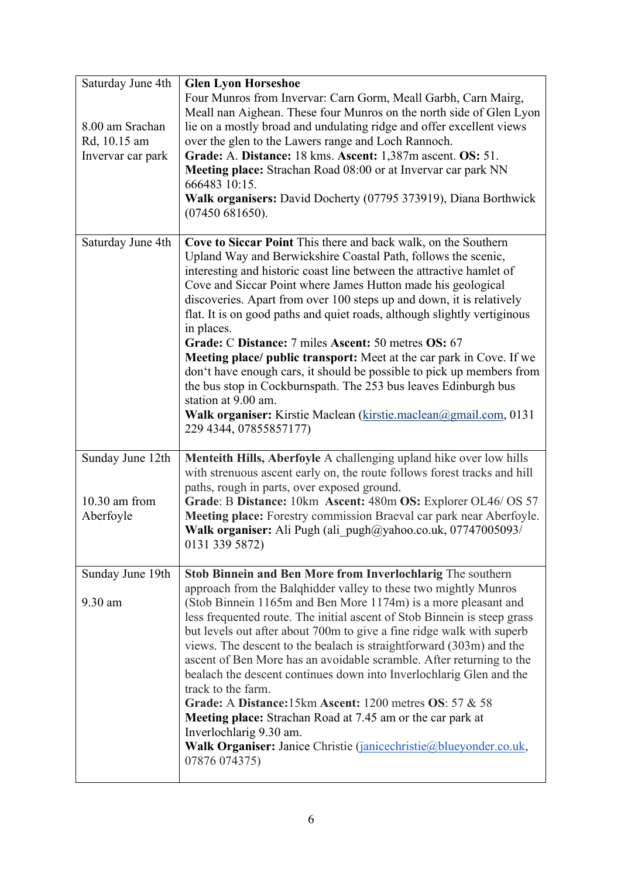| Saturday June 4th                                    | <b>Glen Lyon Horseshoe</b>                                                                                                                                                                                                                                                                                                                                                                                                                                                                                                                                                                                                                                                                                                                                                                                                                        |
|------------------------------------------------------|---------------------------------------------------------------------------------------------------------------------------------------------------------------------------------------------------------------------------------------------------------------------------------------------------------------------------------------------------------------------------------------------------------------------------------------------------------------------------------------------------------------------------------------------------------------------------------------------------------------------------------------------------------------------------------------------------------------------------------------------------------------------------------------------------------------------------------------------------|
| 8.00 am Srachan<br>Rd, 10.15 am<br>Invervar car park | Four Munros from Invervar: Carn Gorm, Meall Garbh, Carn Mairg,<br>Meall nan Aighean. These four Munros on the north side of Glen Lyon<br>lie on a mostly broad and undulating ridge and offer excellent views<br>over the glen to the Lawers range and Loch Rannoch.<br>Grade: A. Distance: 18 kms. Ascent: 1,387m ascent. OS: 51.<br>Meeting place: Strachan Road 08:00 or at Invervar car park NN<br>666483 10:15.<br>Walk organisers: David Docherty (07795 373919), Diana Borthwick<br>(07450681650).                                                                                                                                                                                                                                                                                                                                         |
| Saturday June 4th                                    | Cove to Siccar Point This there and back walk, on the Southern<br>Upland Way and Berwickshire Coastal Path, follows the scenic,<br>interesting and historic coast line between the attractive hamlet of<br>Cove and Siccar Point where James Hutton made his geological<br>discoveries. Apart from over 100 steps up and down, it is relatively<br>flat. It is on good paths and quiet roads, although slightly vertiginous<br>in places.<br>Grade: C Distance: 7 miles Ascent: 50 metres OS: 67<br>Meeting place/ public transport: Meet at the car park in Cove. If we<br>don't have enough cars, it should be possible to pick up members from<br>the bus stop in Cockburnspath. The 253 bus leaves Edinburgh bus<br>station at 9.00 am.<br>Walk organiser: Kirstie Maclean (kirstie.maclean@gmail.com, 0131<br>229 4344, 07855857177)         |
| Sunday June 12th<br>$10.30$ am from<br>Aberfoyle     | Menteith Hills, Aberfoyle A challenging upland hike over low hills<br>with strenuous ascent early on, the route follows forest tracks and hill<br>paths, rough in parts, over exposed ground.<br>Grade: B Distance: 10km Ascent: 480m OS: Explorer OL46/ OS 57<br>Meeting place: Forestry commission Braeval car park near Aberfoyle.<br><b>Walk organiser:</b> Ali Pugh (ali pugh $\omega$ yahoo.co.uk, 07747005093/<br>0131 339 5872)                                                                                                                                                                                                                                                                                                                                                                                                           |
| Sunday June 19th<br>9.30 am                          | Stob Binnein and Ben More from Inverlochlarig The southern<br>approach from the Balqhidder valley to these two mightly Munros<br>(Stob Binnein 1165m and Ben More 1174m) is a more pleasant and<br>less frequented route. The initial ascent of Stob Binnein is steep grass<br>but levels out after about 700m to give a fine ridge walk with superb<br>views. The descent to the bealach is straightforward (303m) and the<br>ascent of Ben More has an avoidable scramble. After returning to the<br>bealach the descent continues down into Inverlochlarig Glen and the<br>track to the farm.<br>Grade: A Distance: 15km Ascent: 1200 metres OS: 57 & 58<br><b>Meeting place:</b> Strachan Road at 7.45 am or the car park at<br>Inverlochlarig 9.30 am.<br>Walk Organiser: Janice Christie (janicechristie@blueyonder.co.uk,<br>07876 074375) |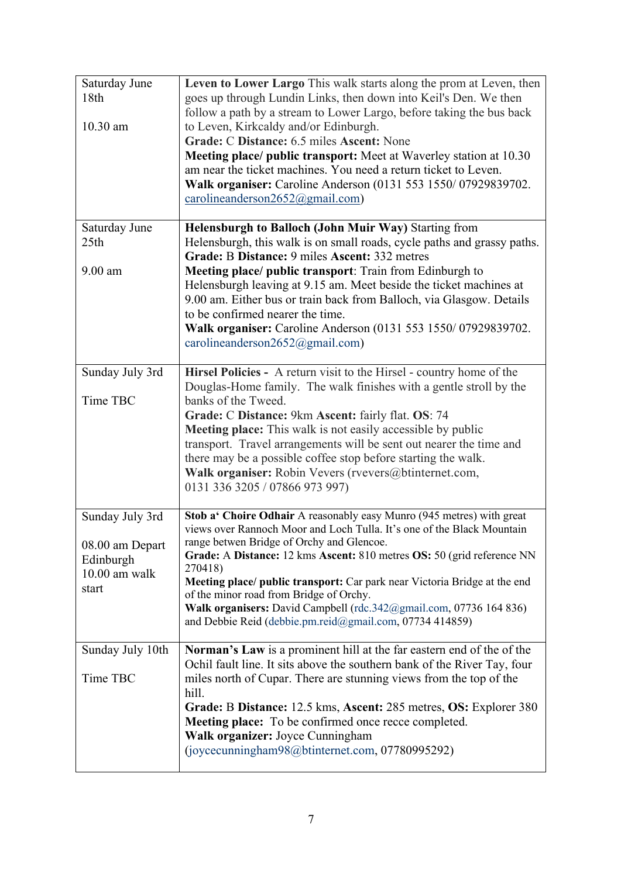| Saturday June<br>18th | Leven to Lower Largo This walk starts along the prom at Leven, then<br>goes up through Lundin Links, then down into Keil's Den. We then |
|-----------------------|-----------------------------------------------------------------------------------------------------------------------------------------|
|                       | follow a path by a stream to Lower Largo, before taking the bus back                                                                    |
| 10.30 am              | to Leven, Kirkcaldy and/or Edinburgh.                                                                                                   |
|                       | Grade: C Distance: 6.5 miles Ascent: None                                                                                               |
|                       | Meeting place/ public transport: Meet at Waverley station at 10.30<br>am near the ticket machines. You need a return ticket to Leven.   |
|                       | Walk organiser: Caroline Anderson (0131 553 1550/07929839702.                                                                           |
|                       | carolineanderson $2652$ @gmail.com)                                                                                                     |
|                       |                                                                                                                                         |
| Saturday June         | Helensburgh to Balloch (John Muir Way) Starting from                                                                                    |
| 25 <sub>th</sub>      | Helensburgh, this walk is on small roads, cycle paths and grassy paths.<br>Grade: B Distance: 9 miles Ascent: 332 metres                |
| $9.00$ am             | Meeting place/ public transport: Train from Edinburgh to                                                                                |
|                       | Helensburgh leaving at 9.15 am. Meet beside the ticket machines at                                                                      |
|                       | 9.00 am. Either bus or train back from Balloch, via Glasgow. Details                                                                    |
|                       | to be confirmed nearer the time.                                                                                                        |
|                       | Walk organiser: Caroline Anderson (0131 553 1550/07929839702.                                                                           |
|                       | carolineanderson2652@gmail.com)                                                                                                         |
| Sunday July 3rd       | Hirsel Policies - A return visit to the Hirsel - country home of the                                                                    |
|                       | Douglas-Home family. The walk finishes with a gentle stroll by the                                                                      |
| Time TBC              | banks of the Tweed.                                                                                                                     |
|                       | Grade: C Distance: 9km Ascent: fairly flat. OS: 74                                                                                      |
|                       | Meeting place: This walk is not easily accessible by public<br>transport. Travel arrangements will be sent out nearer the time and      |
|                       | there may be a possible coffee stop before starting the walk.                                                                           |
|                       | Walk organiser: Robin Vevers (rvevers@btinternet.com,                                                                                   |
|                       | 0131 336 3205 / 07866 973 997)                                                                                                          |
| Sunday July 3rd       | Stob a' Choire Odhair A reasonably easy Munro (945 metres) with great                                                                   |
|                       | views over Rannoch Moor and Loch Tulla. It's one of the Black Mountain                                                                  |
| 08.00 am Depart       | range betwen Bridge of Orchy and Glencoe.                                                                                               |
| Edinburgh             | Grade: A Distance: 12 kms Ascent: 810 metres OS: 50 (grid reference NN                                                                  |
| 10.00 am walk         | 270418)<br>Meeting place/ public transport: Car park near Victoria Bridge at the end                                                    |
| start                 | of the minor road from Bridge of Orchy.                                                                                                 |
|                       | Walk organisers: David Campbell (rdc.342@gmail.com, 07736 164 836)                                                                      |
|                       | and Debbie Reid (debbie.pm.reid@gmail.com, 07734 414859)                                                                                |
| Sunday July 10th      | Norman's Law is a prominent hill at the far eastern end of the of the                                                                   |
|                       | Ochil fault line. It sits above the southern bank of the River Tay, four                                                                |
| Time TBC              | miles north of Cupar. There are stunning views from the top of the                                                                      |
|                       | hill.<br>Grade: B Distance: 12.5 kms, Ascent: 285 metres, OS: Explorer 380                                                              |
|                       | <b>Meeting place:</b> To be confirmed once recce completed.                                                                             |
|                       | Walk organizer: Joyce Cunningham                                                                                                        |
|                       | (joycecunningham98@btinternet.com, 07780995292)                                                                                         |
|                       |                                                                                                                                         |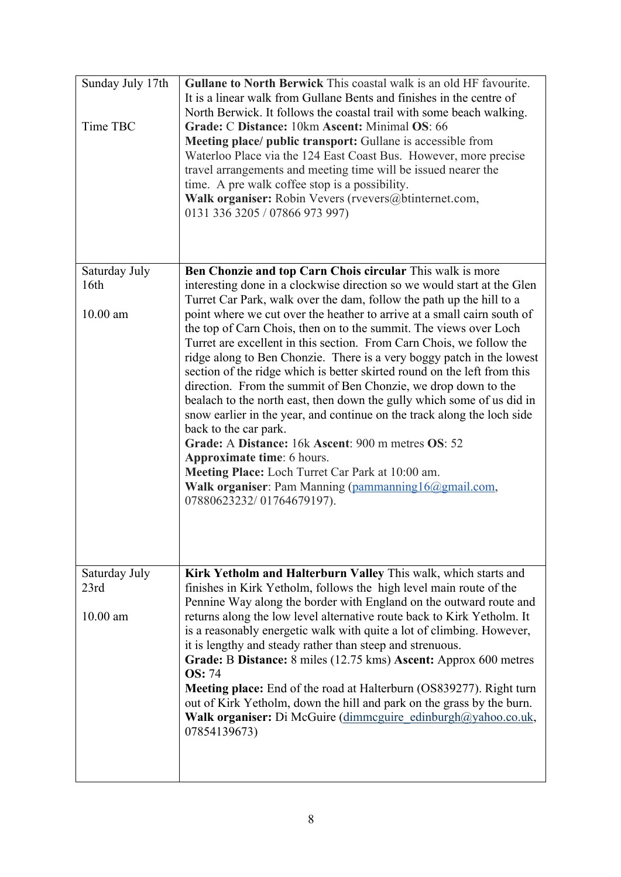| Sunday July 17th<br>Time TBC                    | Gullane to North Berwick This coastal walk is an old HF favourite.<br>It is a linear walk from Gullane Bents and finishes in the centre of<br>North Berwick. It follows the coastal trail with some beach walking.<br>Grade: C Distance: 10km Ascent: Minimal OS: 66<br><b>Meeting place/ public transport:</b> Gullane is accessible from<br>Waterloo Place via the 124 East Coast Bus. However, more precise<br>travel arrangements and meeting time will be issued nearer the<br>time. A pre walk coffee stop is a possibility.<br>Walk organiser: Robin Vevers (rvevers@btinternet.com,<br>0131 336 3205 / 07866 973 997)                                                                                                                                                                                                                                                                                                                                                                                                                                                  |
|-------------------------------------------------|--------------------------------------------------------------------------------------------------------------------------------------------------------------------------------------------------------------------------------------------------------------------------------------------------------------------------------------------------------------------------------------------------------------------------------------------------------------------------------------------------------------------------------------------------------------------------------------------------------------------------------------------------------------------------------------------------------------------------------------------------------------------------------------------------------------------------------------------------------------------------------------------------------------------------------------------------------------------------------------------------------------------------------------------------------------------------------|
| Saturday July<br>16 <sup>th</sup><br>$10.00$ am | Ben Chonzie and top Carn Chois circular This walk is more<br>interesting done in a clockwise direction so we would start at the Glen<br>Turret Car Park, walk over the dam, follow the path up the hill to a<br>point where we cut over the heather to arrive at a small cairn south of<br>the top of Carn Chois, then on to the summit. The views over Loch<br>Turret are excellent in this section. From Carn Chois, we follow the<br>ridge along to Ben Chonzie. There is a very boggy patch in the lowest<br>section of the ridge which is better skirted round on the left from this<br>direction. From the summit of Ben Chonzie, we drop down to the<br>bealach to the north east, then down the gully which some of us did in<br>snow earlier in the year, and continue on the track along the loch side<br>back to the car park.<br>Grade: A Distance: 16k Ascent: 900 m metres OS: 52<br><b>Approximate time:</b> 6 hours.<br>Meeting Place: Loch Turret Car Park at 10:00 am.<br>Walk organiser: Pam Manning (pammanning 16@gmail.com,<br>07880623232/01764679197). |
| Saturday July<br>23rd<br>$10.00$ am             | Kirk Yetholm and Halterburn Valley This walk, which starts and<br>finishes in Kirk Yetholm, follows the high level main route of the<br>Pennine Way along the border with England on the outward route and<br>returns along the low level alternative route back to Kirk Yetholm. It<br>is a reasonably energetic walk with quite a lot of climbing. However,<br>it is lengthy and steady rather than steep and strenuous.<br>Grade: B Distance: 8 miles (12.75 kms) Ascent: Approx 600 metres<br><b>OS: 74</b><br><b>Meeting place:</b> End of the road at Halterburn (OS839277). Right turn<br>out of Kirk Yetholm, down the hill and park on the grass by the burn.<br>Walk organiser: Di McGuire (dimmeguire edinburgh@yahoo.co.uk,<br>07854139673)                                                                                                                                                                                                                                                                                                                        |